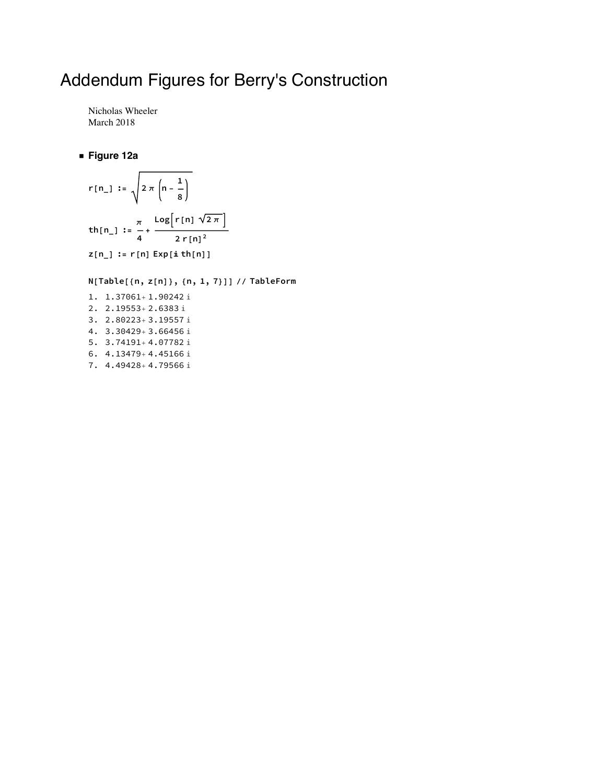# Addendum Figures for Berry's Construction

Nicholas Wheeler March 2018

#### **◼ Figure 12a**

$$
r[n_1] := \sqrt{2 \pi \left(n - \frac{1}{8}\right)}
$$
  
\n
$$
th[n_1] := \frac{\pi}{4} + \frac{\log[r[n] \sqrt{2 \pi}]}{2 r[n]^2}
$$
  
\n
$$
z[n_1] := r[n] \exp[i \th[n]]
$$

**N[Table[{n, z[n]}, {n, 1, 7}]] // TableForm**

1. 1.37061+1.90242 i 2. 2.19553+2.6383 i 3. 2.80223+3.19557 i 4. 3.30429+3.66456 i 5. 3.74191+4.07782 i 6.  $4.13479 + 4.45166$  i 7. 4.49428+4.79566 i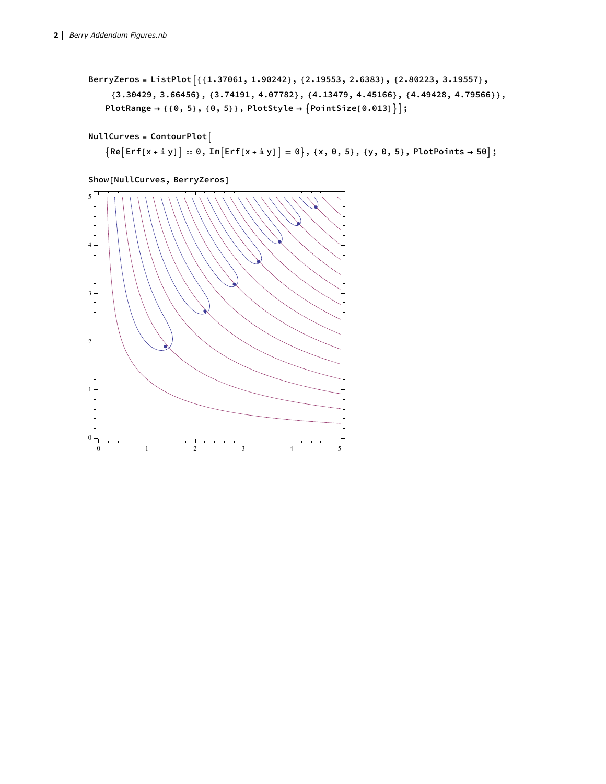```
BerryZeros = ListPlot{{1.37061, 1.90242}, {2.19553, 2.6383}, {2.80223, 3.19557},
    {3.30429, 3.66456}, {3.74191, 4.07782}, {4.13479, 4.45166}, {4.49428, 4.79566}},
   PlotRange → {{0, 5}, {0, 5}}, PlotStyle → PointSize[0.013];
```

```
NullCurves = ContourPlot
```

```
{Re[Erf[x + i y]] = 0, Im[Erf[x + i y]] = 0}, {x, 0, 5}, {y, 0, 5}, PlotPoints \rightarrow 50];
```


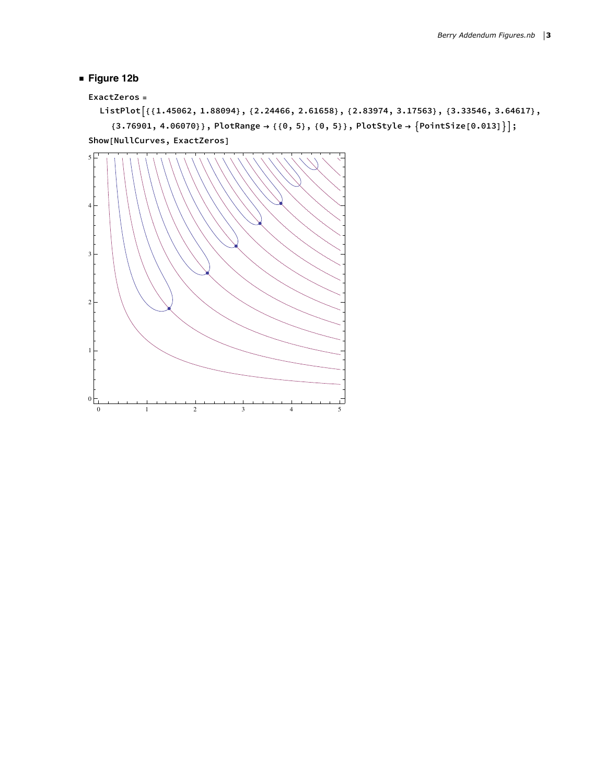### **◼ Figure 12b**

```
ExactZeros =
```

```
ListPlot[{{1.45062, 1.88094}, {2.24466, 2.61658}, {2.83974, 3.17563}, {3.33546, 3.64617},
     {3.76901, 4.06070}, PlotRange \rightarrow {{0, 5}, {0, 5}}, PlotStyle \rightarrow {PointSize[0.013]}];
Show[NullCurves, ExactZeros]
```
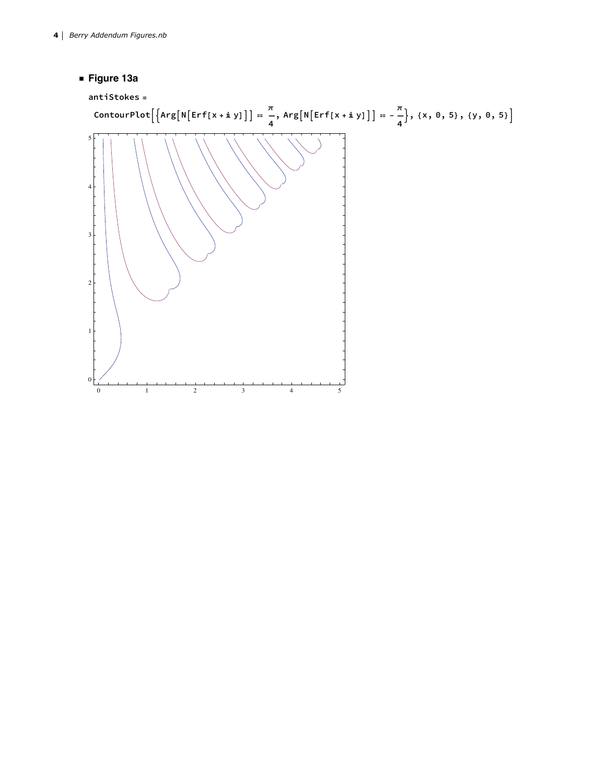**◼ Figure 13a**

```
antiStokes =
```
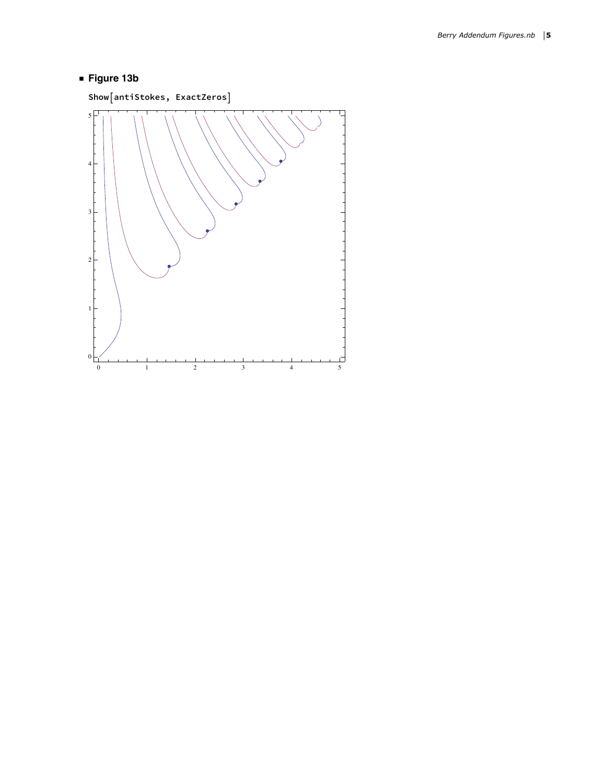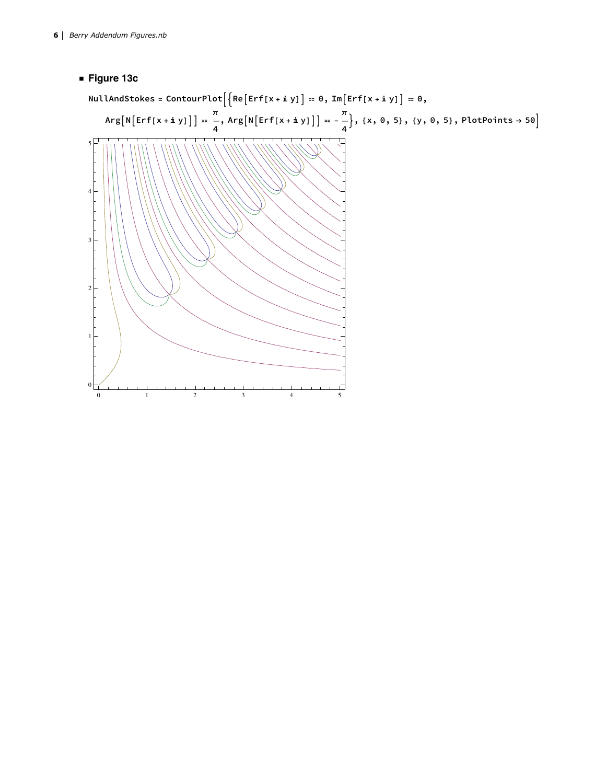### **◼ Figure 13c**